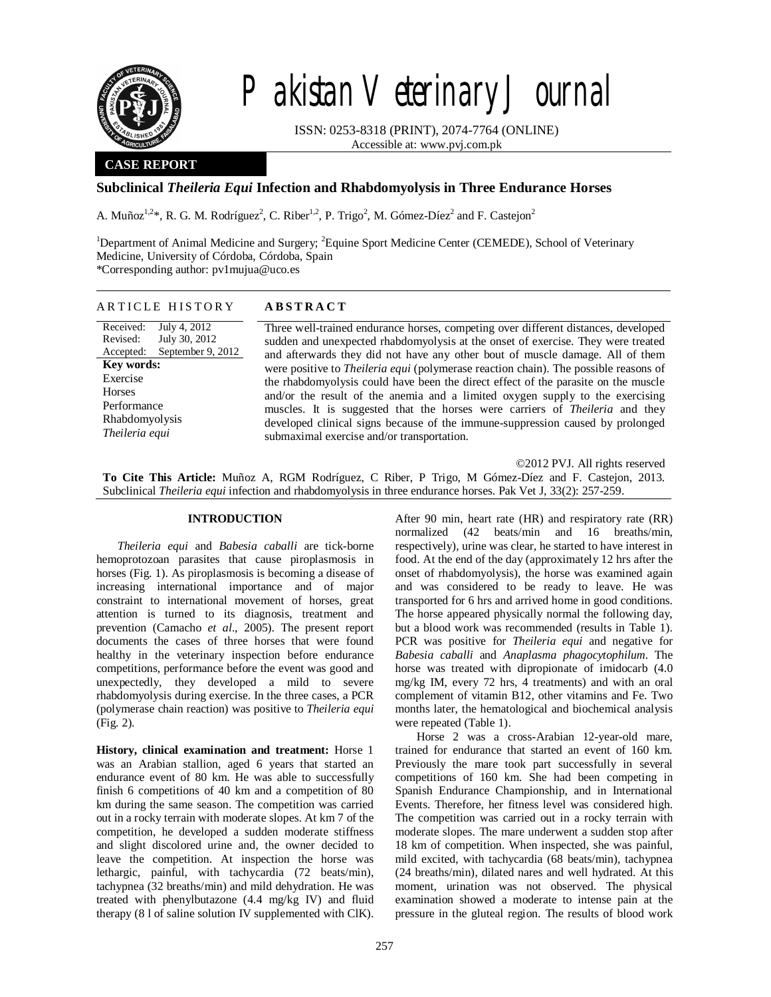

# Pakistan Veterinary Journal

ISSN: 0253-8318 (PRINT), 2074-7764 (ONLINE) Accessible at: www.pvj.com.pk

## **CASE REPORT**

## **Subclinical** *Theileria Equi* **Infection and Rhabdomyolysis in Three Endurance Horses**

A. Muñoz<sup>1,2\*</sup>, R. G. M. Rodríguez<sup>2</sup>, C. Riber<sup>1,2</sup>, P. Trigo<sup>2</sup>, M. Gómez-Díez<sup>2</sup> and F. Castejon<sup>2</sup>

<sup>1</sup>Department of Animal Medicine and Surgery; <sup>2</sup>Equine Sport Medicine Center (CEMEDE), School of Veterinary Medicine, University of Córdoba, Córdoba, Spain \*Corresponding author: pv1mujua@uco.es

### A R T I C L E H I S T O R Y **A B S T R A C T**

Received: Revised: Accepted: July 4, 2012 July 30, 2012 September 9, 2012 **Key words:**  Exercise **Horses** Performance Rhabdomyolysis *Theileria equi*

Three well-trained endurance horses, competing over different distances, developed sudden and unexpected rhabdomyolysis at the onset of exercise. They were treated and afterwards they did not have any other bout of muscle damage. All of them were positive to *Theileria equi* (polymerase reaction chain). The possible reasons of the rhabdomyolysis could have been the direct effect of the parasite on the muscle and/or the result of the anemia and a limited oxygen supply to the exercising muscles. It is suggested that the horses were carriers of *Theileria* and they developed clinical signs because of the immune-suppression caused by prolonged submaximal exercise and/or transportation.

©2012 PVJ. All rights reserved **To Cite This Article:** Muñoz A, RGM Rodríguez, C Riber, P Trigo, M Gómez-Díez and F. Castejon, 2013. Subclinical *Theileria equi* infection and rhabdomyolysis in three endurance horses. Pak Vet J, 33(2): 257-259.

#### **INTRODUCTION**

*Theileria equi* and *Babesia caballi* are tick-borne hemoprotozoan parasites that cause piroplasmosis in horses (Fig. 1). As piroplasmosis is becoming a disease of increasing international importance and of major constraint to international movement of horses, great attention is turned to its diagnosis, treatment and prevention (Camacho *et al*., 2005). The present report documents the cases of three horses that were found healthy in the veterinary inspection before endurance competitions, performance before the event was good and unexpectedly, they developed a mild to severe rhabdomyolysis during exercise. In the three cases, a PCR (polymerase chain reaction) was positive to *Theileria equi* (Fig. 2).

**History, clinical examination and treatment:** Horse 1 was an Arabian stallion, aged 6 years that started an endurance event of 80 km. He was able to successfully finish 6 competitions of 40 km and a competition of 80 km during the same season. The competition was carried out in a rocky terrain with moderate slopes. At km 7 of the competition, he developed a sudden moderate stiffness and slight discolored urine and, the owner decided to leave the competition. At inspection the horse was lethargic, painful, with tachycardia (72 beats/min), tachypnea (32 breaths/min) and mild dehydration. He was treated with phenylbutazone (4.4 mg/kg IV) and fluid therapy (8 l of saline solution IV supplemented with ClK).

After 90 min, heart rate (HR) and respiratory rate (RR) normalized (42 beats/min and 16 breaths/min, respectively), urine was clear, he started to have interest in food. At the end of the day (approximately 12 hrs after the onset of rhabdomyolysis), the horse was examined again and was considered to be ready to leave. He was transported for 6 hrs and arrived home in good conditions. The horse appeared physically normal the following day, but a blood work was recommended (results in Table 1). PCR was positive for *Theileria equi* and negative for *Babesia caballi* and *Anaplasma phagocytophilum*. The horse was treated with dipropionate of imidocarb (4.0 mg/kg IM, every 72 hrs, 4 treatments) and with an oral complement of vitamin B12, other vitamins and Fe. Two months later, the hematological and biochemical analysis were repeated (Table 1).

Horse 2 was a cross-Arabian 12-year-old mare, trained for endurance that started an event of 160 km. Previously the mare took part successfully in several competitions of 160 km. She had been competing in Spanish Endurance Championship, and in International Events. Therefore, her fitness level was considered high. The competition was carried out in a rocky terrain with moderate slopes. The mare underwent a sudden stop after 18 km of competition. When inspected, she was painful, mild excited, with tachycardia (68 beats/min), tachypnea (24 breaths/min), dilated nares and well hydrated. At this moment, urination was not observed. The physical examination showed a moderate to intense pain at the pressure in the gluteal region. The results of blood work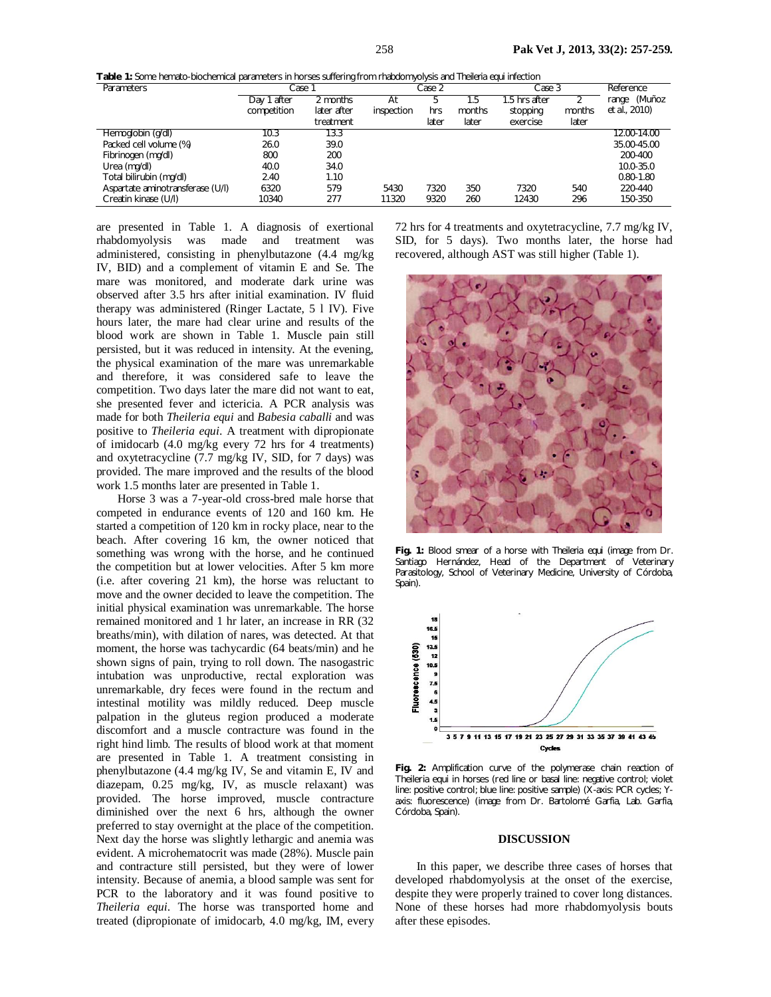**Table 1:** Some hemato-biochemical parameters in horses suffering from rhabdomyolysis and *Theileria equi* infection

| Parameters                       | Case 1      |             | Case 2     |       |        | Case 3       |        | Reference       |
|----------------------------------|-------------|-------------|------------|-------|--------|--------------|--------|-----------------|
|                                  | Day 1 after | 2 months    | A          |       | .b     | .5 hrs after |        | (Muñoz<br>range |
|                                  | competition | later after | inspection | hrs   | months | stopping     | months | et al., 2010)   |
|                                  |             | treatment   |            | later | later  | exercise     | later  |                 |
| Hemoglobin (g/dl)                | 10.3        | 13.3        |            |       |        |              |        | 12.00-14.00     |
| Packed cell volume (%)           | 26.0        | 39.0        |            |       |        |              |        | 35.00-45.00     |
| Fibrinogen (mg/dl)               | 800         | 200         |            |       |        |              |        | 200-400         |
| Urea (mg/dl)                     | 40.0        | 34.0        |            |       |        |              |        | 10.0-35.0       |
| Total bilirubin (mg/dl)          | 2.40        | 1.10        |            |       |        |              |        | $0.80 - 1.80$   |
| Aspartate aminotransferase (U/I) | 6320        | 579         | 5430       | 7320  | 350    | 7320         | 540    | 220-440         |
| Creatin kinase (U/I)             | 10340       | 277         | 11320      | 9320  | 260    | 12430        | 296    | 150-350         |

are presented in Table 1. A diagnosis of exertional rhabdomyolysis was made and treatment was administered, consisting in phenylbutazone (4.4 mg/kg IV, BID) and a complement of vitamin E and Se. The mare was monitored, and moderate dark urine was observed after 3.5 hrs after initial examination. IV fluid therapy was administered (Ringer Lactate, 5 l IV). Five hours later, the mare had clear urine and results of the blood work are shown in Table 1. Muscle pain still persisted, but it was reduced in intensity. At the evening, the physical examination of the mare was unremarkable and therefore, it was considered safe to leave the competition. Two days later the mare did not want to eat, she presented fever and ictericia. A PCR analysis was made for both *Theileria equi* and *Babesia caballi* and was positive to *Theileria equi*. A treatment with dipropionate of imidocarb (4.0 mg/kg every 72 hrs for 4 treatments) and oxytetracycline (7.7 mg/kg IV, SID, for 7 days) was provided. The mare improved and the results of the blood work 1.5 months later are presented in Table 1.

Horse 3 was a 7-year-old cross-bred male horse that competed in endurance events of 120 and 160 km. He started a competition of 120 km in rocky place, near to the beach. After covering 16 km, the owner noticed that something was wrong with the horse, and he continued the competition but at lower velocities. After 5 km more (i.e. after covering 21 km), the horse was reluctant to move and the owner decided to leave the competition. The initial physical examination was unremarkable. The horse remained monitored and 1 hr later, an increase in RR (32 breaths/min), with dilation of nares, was detected. At that moment, the horse was tachycardic (64 beats/min) and he shown signs of pain, trying to roll down. The nasogastric intubation was unproductive, rectal exploration was unremarkable, dry feces were found in the rectum and intestinal motility was mildly reduced. Deep muscle palpation in the gluteus region produced a moderate discomfort and a muscle contracture was found in the right hind limb. The results of blood work at that moment are presented in Table 1. A treatment consisting in phenylbutazone (4.4 mg/kg IV, Se and vitamin E, IV and diazepam, 0.25 mg/kg, IV, as muscle relaxant) was provided. The horse improved, muscle contracture diminished over the next 6 hrs, although the owner preferred to stay overnight at the place of the competition. Next day the horse was slightly lethargic and anemia was evident. A microhematocrit was made (28%). Muscle pain and contracture still persisted, but they were of lower intensity. Because of anemia, a blood sample was sent for PCR to the laboratory and it was found positive to *Theileria equi*. The horse was transported home and treated (dipropionate of imidocarb, 4.0 mg/kg, IM, every

72 hrs for 4 treatments and oxytetracycline, 7.7 mg/kg IV, SID, for 5 days). Two months later, the horse had recovered, although AST was still higher (Table 1).



**Fig. 1:** Blood smear of a horse with *Theileria equi* (image from Dr. Santiago Hernández, Head of the Department of Veterinary Parasitology, School of Veterinary Medicine, University of Córdoba, Spain).



**Fig. 2:** Amplification curve of the polymerase chain reaction of Theileria equi in horses (red line or basal line: negative control; violet line: positive control; blue line: positive sample) (X-axis: PCR cycles; Yaxis: fluorescence) (image from Dr. Bartolomé Garfia, Lab. Garfia, Córdoba, Spain).

#### **DISCUSSION**

In this paper, we describe three cases of horses that developed rhabdomyolysis at the onset of the exercise, despite they were properly trained to cover long distances. None of these horses had more rhabdomyolysis bouts after these episodes.